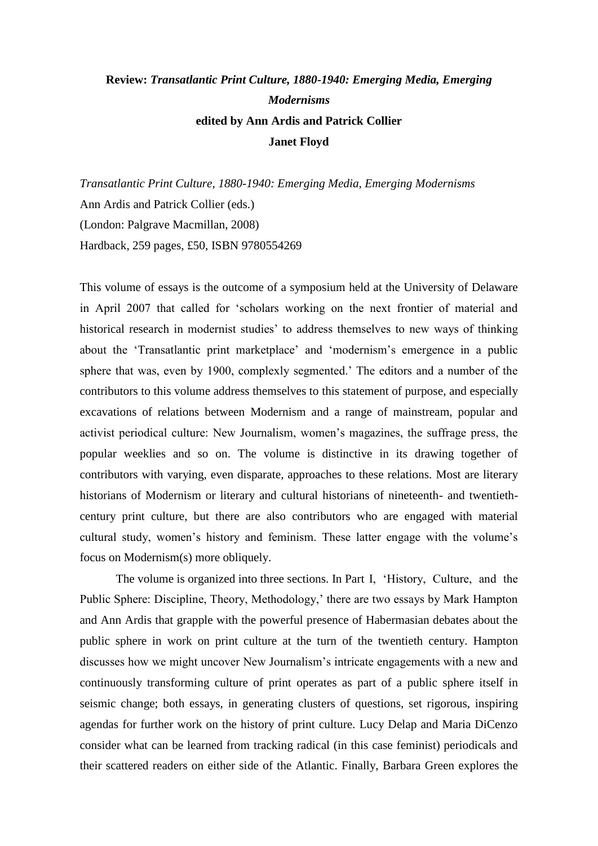## **Review:** *Transatlantic Print Culture, 1880-1940: Emerging Media, Emerging Modernisms* **edited by Ann Ardis and Patrick Collier Janet Floyd**

*Transatlantic Print Culture, 1880-1940: Emerging Media, Emerging Modernisms* Ann Ardis and Patrick Collier (eds.) (London: Palgrave Macmillan, 2008) Hardback, 259 pages, £50, ISBN 9780554269

This volume of essays is the outcome of a symposium held at the University of Delaware in April 2007 that called for 'scholars working on the next frontier of material and historical research in modernist studies' to address themselves to new ways of thinking about the 'Transatlantic print marketplace' and 'modernism's emergence in a public sphere that was, even by 1900, complexly segmented.' The editors and a number of the contributors to this volume address themselves to this statement of purpose, and especially excavations of relations between Modernism and a range of mainstream, popular and activist periodical culture: New Journalism, women's magazines, the suffrage press, the popular weeklies and so on. The volume is distinctive in its drawing together of contributors with varying, even disparate, approaches to these relations. Most are literary historians of Modernism or literary and cultural historians of nineteenth- and twentiethcentury print culture, but there are also contributors who are engaged with material cultural study, women's history and feminism. These latter engage with the volume's focus on Modernism(s) more obliquely.

The volume is organized into three sections. In Part I, 'History, Culture, and the Public Sphere: Discipline, Theory, Methodology,' there are two essays by Mark Hampton and Ann Ardis that grapple with the powerful presence of Habermasian debates about the public sphere in work on print culture at the turn of the twentieth century. Hampton discusses how we might uncover New Journalism's intricate engagements with a new and continuously transforming culture of print operates as part of a public sphere itself in seismic change; both essays, in generating clusters of questions, set rigorous, inspiring agendas for further work on the history of print culture. Lucy Delap and Maria DiCenzo consider what can be learned from tracking radical (in this case feminist) periodicals and their scattered readers on either side of the Atlantic. Finally, Barbara Green explores the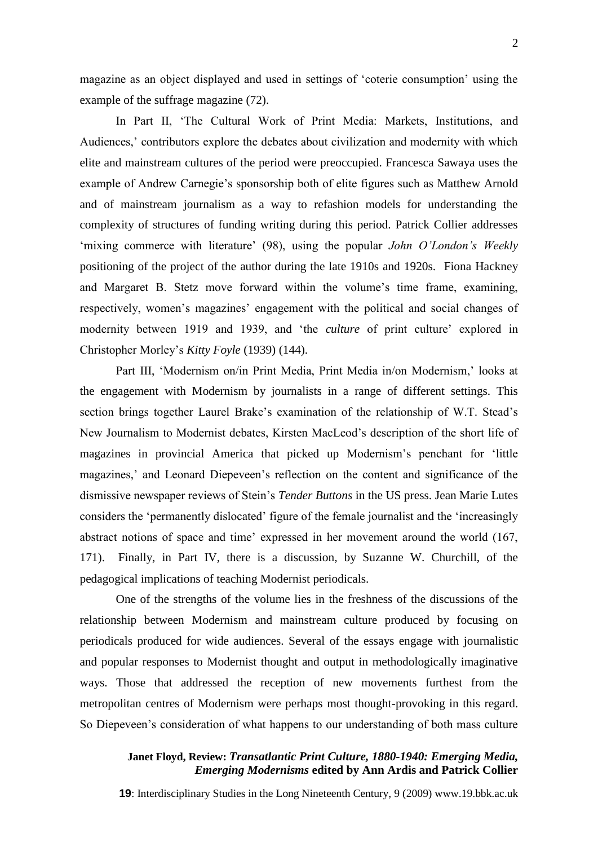magazine as an object displayed and used in settings of 'coterie consumption' using the example of the suffrage magazine (72).

In Part II, 'The Cultural Work of Print Media: Markets, Institutions, and Audiences,' contributors explore the debates about civilization and modernity with which elite and mainstream cultures of the period were preoccupied. Francesca Sawaya uses the example of Andrew Carnegie's sponsorship both of elite figures such as Matthew Arnold and of mainstream journalism as a way to refashion models for understanding the complexity of structures of funding writing during this period. Patrick Collier addresses 'mixing commerce with literature' (98), using the popular *John O'London's Weekly*  positioning of the project of the author during the late 1910s and 1920s. Fiona Hackney and Margaret B. Stetz move forward within the volume's time frame, examining, respectively, women's magazines' engagement with the political and social changes of modernity between 1919 and 1939, and 'the *culture* of print culture' explored in Christopher Morley's *Kitty Foyle* (1939) (144).

Part III, 'Modernism on/in Print Media, Print Media in/on Modernism,' looks at the engagement with Modernism by journalists in a range of different settings. This section brings together Laurel Brake's examination of the relationship of W.T. Stead's New Journalism to Modernist debates, Kirsten MacLeod's description of the short life of magazines in provincial America that picked up Modernism's penchant for 'little magazines,' and Leonard Diepeveen's reflection on the content and significance of the dismissive newspaper reviews of Stein's *Tender Buttons* in the US press. Jean Marie Lutes considers the 'permanently dislocated' figure of the female journalist and the 'increasingly abstract notions of space and time' expressed in her movement around the world (167, 171). Finally, in Part IV, there is a discussion, by Suzanne W. Churchill, of the pedagogical implications of teaching Modernist periodicals.

One of the strengths of the volume lies in the freshness of the discussions of the relationship between Modernism and mainstream culture produced by focusing on periodicals produced for wide audiences. Several of the essays engage with journalistic and popular responses to Modernist thought and output in methodologically imaginative ways. Those that addressed the reception of new movements furthest from the metropolitan centres of Modernism were perhaps most thought-provoking in this regard. So Diepeveen's consideration of what happens to our understanding of both mass culture

## **Janet Floyd, Review:** *Transatlantic Print Culture, 1880-1940: Emerging Media, Emerging Modernisms* **edited by Ann Ardis and Patrick Collier**

**19**: Interdisciplinary Studies in the Long Nineteenth Century, 9 (2009) www.19.bbk.ac.uk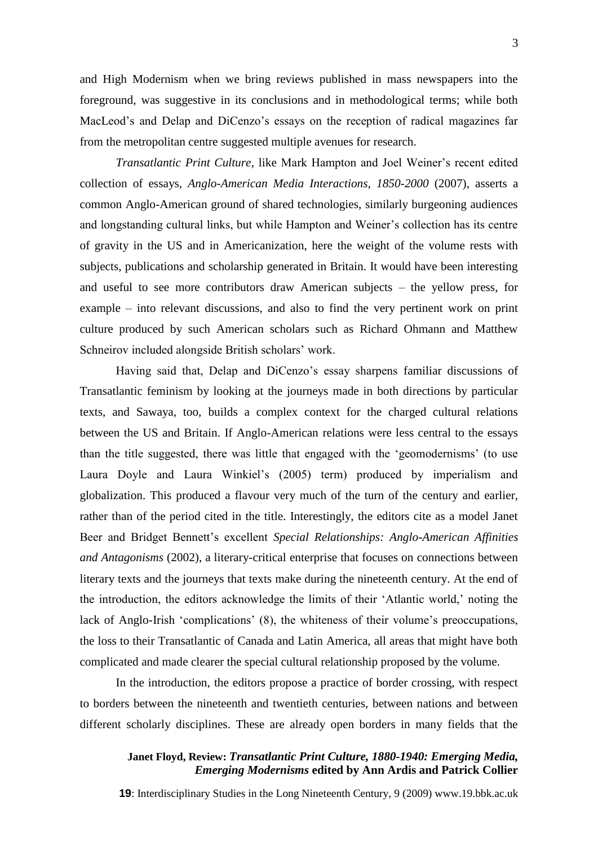and High Modernism when we bring reviews published in mass newspapers into the foreground, was suggestive in its conclusions and in methodological terms; while both MacLeod's and Delap and DiCenzo's essays on the reception of radical magazines far from the metropolitan centre suggested multiple avenues for research.

*Transatlantic Print Culture*, like Mark Hampton and Joel Weiner's recent edited collection of essays, *Anglo-American Media Interactions, 1850-2000* (2007), asserts a common Anglo-American ground of shared technologies, similarly burgeoning audiences and longstanding cultural links, but while Hampton and Weiner's collection has its centre of gravity in the US and in Americanization, here the weight of the volume rests with subjects, publications and scholarship generated in Britain. It would have been interesting and useful to see more contributors draw American subjects – the yellow press, for example – into relevant discussions, and also to find the very pertinent work on print culture produced by such American scholars such as Richard Ohmann and Matthew Schneirov included alongside British scholars' work.

Having said that, Delap and DiCenzo's essay sharpens familiar discussions of Transatlantic feminism by looking at the journeys made in both directions by particular texts, and Sawaya, too, builds a complex context for the charged cultural relations between the US and Britain. If Anglo-American relations were less central to the essays than the title suggested, there was little that engaged with the 'geomodernisms' (to use Laura Doyle and Laura Winkiel's (2005) term) produced by imperialism and globalization. This produced a flavour very much of the turn of the century and earlier, rather than of the period cited in the title. Interestingly, the editors cite as a model Janet Beer and Bridget Bennett's excellent *Special Relationships: Anglo-American Affinities and Antagonisms* (2002), a literary-critical enterprise that focuses on connections between literary texts and the journeys that texts make during the nineteenth century. At the end of the introduction, the editors acknowledge the limits of their 'Atlantic world,' noting the lack of Anglo-Irish 'complications' (8), the whiteness of their volume's preoccupations, the loss to their Transatlantic of Canada and Latin America, all areas that might have both complicated and made clearer the special cultural relationship proposed by the volume.

In the introduction, the editors propose a practice of border crossing, with respect to borders between the nineteenth and twentieth centuries, between nations and between different scholarly disciplines. These are already open borders in many fields that the

## **Janet Floyd, Review:** *Transatlantic Print Culture, 1880-1940: Emerging Media, Emerging Modernisms* **edited by Ann Ardis and Patrick Collier**

**19**: Interdisciplinary Studies in the Long Nineteenth Century, 9 (2009) www.19.bbk.ac.uk